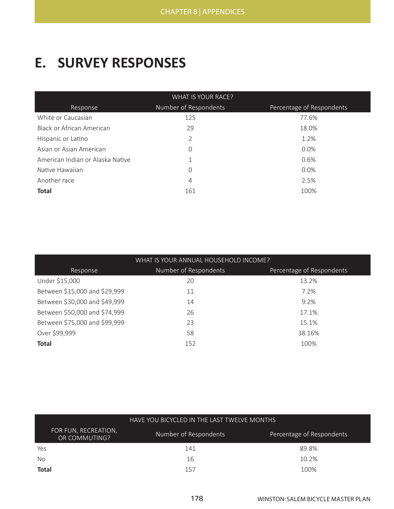## **E. SURVEY RESPONSES**

| WHAT IS YOUR RACE?               |                       |                           |  |  |  |
|----------------------------------|-----------------------|---------------------------|--|--|--|
| Response                         | Number of Respondents | Percentage of Respondents |  |  |  |
| White or Caucasian               | 125                   | 77.6%                     |  |  |  |
| <b>Black or African American</b> | 29                    | 18.0%                     |  |  |  |
| Hispanic or Latino               | 2                     | 1.2%                      |  |  |  |
| Asian or Asian American          | $\Omega$              | $0.0\%$                   |  |  |  |
| American Indian or Alaska Native | 1                     | 0.6%                      |  |  |  |
| Native Hawaiian                  | $\Omega$              | $0.0\%$                   |  |  |  |
| Another race                     | $\overline{4}$        | 2.5%                      |  |  |  |
| <b>Total</b>                     | 161                   | 100%                      |  |  |  |

| WHAT IS YOUR ANNUAL HOUSEHOLD INCOME? |                       |                           |  |  |  |  |
|---------------------------------------|-----------------------|---------------------------|--|--|--|--|
| Response                              | Number of Respondents | Percentage of Respondents |  |  |  |  |
| Under \$15,000                        | 20                    | 13.2%                     |  |  |  |  |
| Between \$15,000 and \$29,999         | 11                    | 7.2%                      |  |  |  |  |
| Between \$30,000 and \$49,999         | 14                    | 9.2%                      |  |  |  |  |
| Between \$50,000 and \$74,999         | 26                    | 17.1%                     |  |  |  |  |
| Between \$75,000 and \$99,999         | 23                    | 15.1%                     |  |  |  |  |
| Over \$99,999                         | 58                    | 38.16%                    |  |  |  |  |
| <b>Total</b>                          | 152                   | 100%                      |  |  |  |  |

|                                       | HAVE YOU BICYCLED IN THE LAST TWELVE MONTHS |                           |  |  |  |
|---------------------------------------|---------------------------------------------|---------------------------|--|--|--|
| FOR FUN, RECREATION,<br>OR COMMUTING? | Number of Respondents                       | Percentage of Respondents |  |  |  |
| Yes                                   | 141                                         | 89.8%                     |  |  |  |
| No.                                   | 16                                          | 10.2%                     |  |  |  |
| <b>Total</b>                          | 157                                         | 100%                      |  |  |  |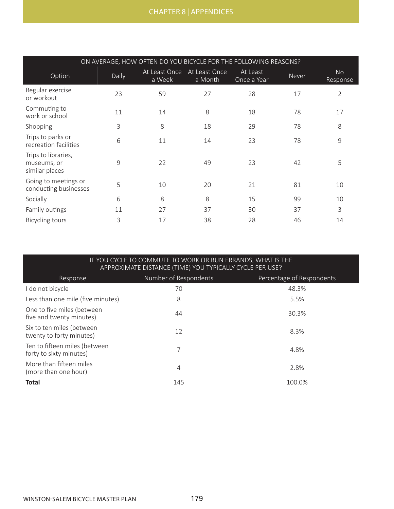| ON AVERAGE, HOW OFTEN DO YOU BICYCLE FOR THE FOLLOWING REASONS? |       |                         |                          |                         |       |                       |
|-----------------------------------------------------------------|-------|-------------------------|--------------------------|-------------------------|-------|-----------------------|
| Option                                                          | Daily | At Least Once<br>a Week | At Least Once<br>a Month | At Least<br>Once a Year | Never | <b>No</b><br>Response |
| Regular exercise<br>or workout                                  | 23    | 59                      | 27                       | 28                      | 17    | $\overline{2}$        |
| Commuting to<br>work or school                                  | 11    | 14                      | 8                        | 18                      | 78    | 17                    |
| Shopping                                                        | 3     | 8                       | 18                       | 29                      | 78    | 8                     |
| Trips to parks or<br>recreation facilities                      | 6     | 11                      | 14                       | 23                      | 78    | $\mathsf 9$           |
| Trips to libraries,<br>museums, or<br>similar places            | 9     | 22                      | 49                       | 23                      | 42    | 5                     |
| Going to meetings or<br>conducting businesses                   | 5     | 10                      | 20                       | 21                      | 81    | 10                    |
| Socially                                                        | 6     | 8                       | 8                        | 15                      | 99    | 10                    |
| Family outings                                                  | 11    | 27                      | 37                       | 30                      | 37    | 3                     |
| <b>Bicycling tours</b>                                          | 3     | 17                      | 38                       | 28                      | 46    | 14                    |

## IF YOU CYCLE TO COMMUTE TO WORK OR RUN ERRANDS, WHAT IS THE APPROXIMATE DISTANCE (TIME) YOU TYPICALLY CYCLE PER USE?

| Response                                                 | Number of Respondents | Percentage of Respondents |
|----------------------------------------------------------|-----------------------|---------------------------|
| I do not bicycle                                         | 70                    | 48.3%                     |
| Less than one mile (five minutes)                        | 8                     | 5.5%                      |
| One to five miles (between<br>five and twenty minutes)   | 44                    | 30.3%                     |
| Six to ten miles (between<br>twenty to forty minutes)    | 12                    | 8.3%                      |
| Ten to fifteen miles (between<br>forty to sixty minutes) | 7                     | 4.8%                      |
| More than fifteen miles<br>(more than one hour)          | 4                     | 2.8%                      |
| <b>Total</b>                                             | 145                   | 100.0%                    |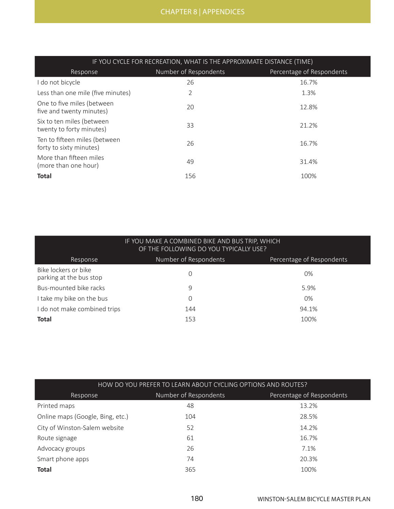| IF YOU CYCLE FOR RECREATION, WHAT IS THE APPROXIMATE DISTANCE (TIME) |                       |                           |  |  |
|----------------------------------------------------------------------|-----------------------|---------------------------|--|--|
| Response                                                             | Number of Respondents | Percentage of Respondents |  |  |
| I do not bicycle                                                     | 26                    | 16.7%                     |  |  |
| Less than one mile (five minutes)                                    | 2                     | 1.3%                      |  |  |
| One to five miles (between<br>five and twenty minutes)               | 20                    | 12.8%                     |  |  |
| Six to ten miles (between<br>twenty to forty minutes)                | 33                    | 21.2%                     |  |  |
| Ten to fifteen miles (between<br>forty to sixty minutes)             | 26                    | 16.7%                     |  |  |
| More than fifteen miles<br>(more than one hour)                      | 49                    | 31.4%                     |  |  |
| <b>Total</b>                                                         | 156                   | 100%                      |  |  |

| IF YOU MAKE A COMBINED BIKE AND BUS TRIP, WHICH<br>OF THE FOLLOWING DO YOU TYPICALLY USE? |                       |                           |  |  |  |
|-------------------------------------------------------------------------------------------|-----------------------|---------------------------|--|--|--|
| Response                                                                                  | Number of Respondents | Percentage of Respondents |  |  |  |
| Bike lockers or bike<br>parking at the bus stop                                           | 0                     | $0\%$                     |  |  |  |
| Bus-mounted bike racks                                                                    | 9                     | 5.9%                      |  |  |  |
| I take my bike on the bus                                                                 | 0                     | $0\%$                     |  |  |  |
| I do not make combined trips                                                              | 144                   | 94.1%                     |  |  |  |
| <b>Total</b>                                                                              | 153                   | 100%                      |  |  |  |

| HOW DO YOU PREFER TO LEARN ABOUT CYCLING OPTIONS AND ROUTES? |                       |                           |  |  |  |
|--------------------------------------------------------------|-----------------------|---------------------------|--|--|--|
| Response                                                     | Number of Respondents | Percentage of Respondents |  |  |  |
| Printed maps                                                 | 48                    | 13.2%                     |  |  |  |
| Online maps (Google, Bing, etc.)                             | 104                   | 28.5%                     |  |  |  |
| City of Winston-Salem website                                | 52                    | 14.2%                     |  |  |  |
| Route signage                                                | 61                    | 16.7%                     |  |  |  |
| Advocacy groups                                              | 26                    | 7.1%                      |  |  |  |
| Smart phone apps                                             | 74                    | 20.3%                     |  |  |  |
| <b>Total</b>                                                 | 365                   | 100%                      |  |  |  |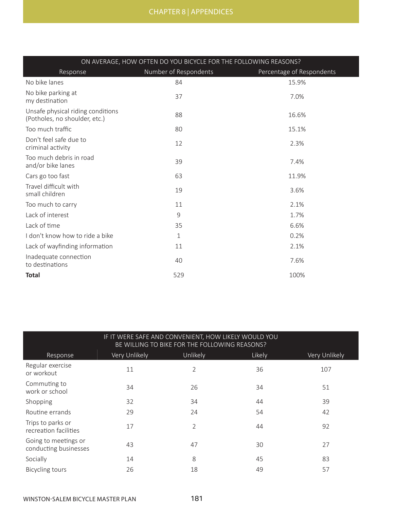| ON AVERAGE, HOW OFTEN DO YOU BICYCLE FOR THE FOLLOWING REASONS?    |                       |                           |  |  |  |  |
|--------------------------------------------------------------------|-----------------------|---------------------------|--|--|--|--|
| Response                                                           | Number of Respondents | Percentage of Respondents |  |  |  |  |
| No bike lanes                                                      | 84                    | 15.9%                     |  |  |  |  |
| No bike parking at<br>my destination                               | 37                    | 7.0%                      |  |  |  |  |
| Unsafe physical riding conditions<br>(Potholes, no shoulder, etc.) | 88                    | 16.6%                     |  |  |  |  |
| Too much traffic                                                   | 80                    | 15.1%                     |  |  |  |  |
| Don't feel safe due to<br>criminal activity                        | 12                    | 2.3%                      |  |  |  |  |
| Too much debris in road<br>and/or bike lanes                       | 39                    | 7.4%                      |  |  |  |  |
| Cars go too fast                                                   | 63                    | 11.9%                     |  |  |  |  |
| Travel difficult with<br>small children                            | 19                    | 3.6%                      |  |  |  |  |
| Too much to carry                                                  | 11                    | 2.1%                      |  |  |  |  |
| Lack of interest                                                   | 9                     | 1.7%                      |  |  |  |  |
| Lack of time                                                       | 35                    | 6.6%                      |  |  |  |  |
| I don't know how to ride a bike                                    | $\mathbf{1}$          | 0.2%                      |  |  |  |  |
| Lack of wayfinding information                                     | 11                    | 2.1%                      |  |  |  |  |
| Inadequate connection<br>to destinations                           | 40                    | 7.6%                      |  |  |  |  |
| <b>Total</b>                                                       | 529                   | 100%                      |  |  |  |  |

|                                               | IF IT WERE SAFE AND CONVENIENT, HOW LIKELY WOULD YOU<br>BE WILLING TO BIKE FOR THE FOLLOWING REASONS? |          |        |               |  |  |  |
|-----------------------------------------------|-------------------------------------------------------------------------------------------------------|----------|--------|---------------|--|--|--|
| Response                                      | Very Unlikely                                                                                         | Unlikely | Likely | Very Unlikely |  |  |  |
| Regular exercise<br>or workout                | 11                                                                                                    | 2        | 36     | 107           |  |  |  |
| Commuting to<br>work or school                | 34                                                                                                    | 26       | 34     | 51            |  |  |  |
| Shopping                                      | 32                                                                                                    | 34       | 44     | 39            |  |  |  |
| Routine errands                               | 29                                                                                                    | 24       | 54     | 42            |  |  |  |
| Trips to parks or<br>recreation facilities    | 17                                                                                                    | 2        | 44     | 92            |  |  |  |
| Going to meetings or<br>conducting businesses | 43                                                                                                    | 47       | 30     | 27            |  |  |  |
| Socially                                      | 14                                                                                                    | 8        | 45     | 83            |  |  |  |
| <b>Bicycling tours</b>                        | 26                                                                                                    | 18       | 49     | 57            |  |  |  |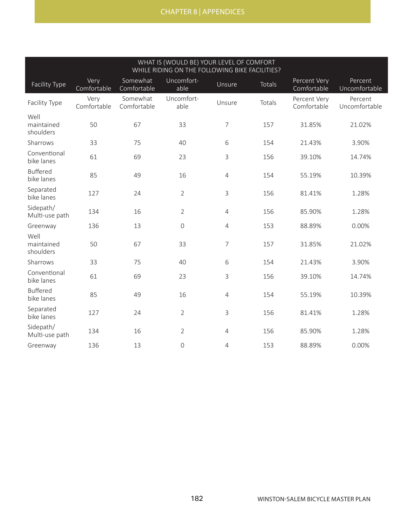| WHAT IS (WOULD BE) YOUR LEVEL OF COMFORT<br>WHILE RIDING ON THE FOLLOWING BIKE FACILITIES? |                     |                         |                    |                |               |                             |                          |
|--------------------------------------------------------------------------------------------|---------------------|-------------------------|--------------------|----------------|---------------|-----------------------------|--------------------------|
| Facility Type                                                                              | Very<br>Comfortable | Somewhat<br>Comfortable | Uncomfort-<br>able | Unsure         | <b>Totals</b> | Percent Very<br>Comfortable | Percent<br>Uncomfortable |
| Facility Type                                                                              | Very<br>Comfortable | Somewhat<br>Comfortable | Uncomfort-<br>able | Unsure         | Totals        | Percent Very<br>Comfortable | Percent<br>Uncomfortable |
| Well<br>maintained<br>shoulders                                                            | 50                  | 67                      | 33                 | $\overline{7}$ | 157           | 31.85%                      | 21.02%                   |
| Sharrows                                                                                   | 33                  | 75                      | 40                 | 6              | 154           | 21.43%                      | 3.90%                    |
| Conventional<br>bike lanes                                                                 | 61                  | 69                      | 23                 | 3              | 156           | 39.10%                      | 14.74%                   |
| <b>Buffered</b><br>bike lanes                                                              | 85                  | 49                      | 16                 | $\overline{4}$ | 154           | 55.19%                      | 10.39%                   |
| Separated<br>bike lanes                                                                    | 127                 | 24                      | $\overline{2}$     | 3              | 156           | 81.41%                      | 1.28%                    |
| Sidepath/<br>Multi-use path                                                                | 134                 | 16                      | $\overline{2}$     | $\overline{4}$ | 156           | 85.90%                      | 1.28%                    |
| Greenway                                                                                   | 136                 | 13                      | $\mathbf 0$        | $\overline{4}$ | 153           | 88.89%                      | 0.00%                    |
| Well<br>maintained<br>shoulders                                                            | 50                  | 67                      | 33                 | $\overline{7}$ | 157           | 31.85%                      | 21.02%                   |
| Sharrows                                                                                   | 33                  | 75                      | 40                 | 6              | 154           | 21.43%                      | 3.90%                    |
| Conventional<br>bike lanes                                                                 | 61                  | 69                      | 23                 | 3              | 156           | 39.10%                      | 14.74%                   |
| <b>Buffered</b><br>bike lanes                                                              | 85                  | 49                      | 16                 | $\overline{4}$ | 154           | 55.19%                      | 10.39%                   |
| Separated<br>bike lanes                                                                    | 127                 | 24                      | $\overline{2}$     | 3              | 156           | 81.41%                      | 1.28%                    |
| Sidepath/<br>Multi-use path                                                                | 134                 | 16                      | $\overline{2}$     | $\overline{4}$ | 156           | 85.90%                      | 1.28%                    |
| Greenway                                                                                   | 136                 | 13                      | $\mathbf 0$        | $\overline{4}$ | 153           | 88.89%                      | 0.00%                    |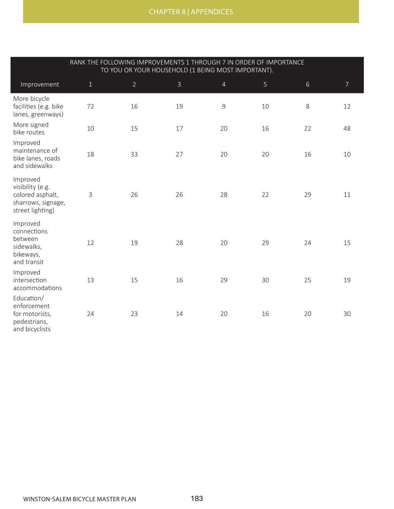|                                                                                            | RANK THE FOLLOWING IMPROVEMENTS 1 THROUGH 7 IN ORDER OF IMPORTANCE<br>TO YOU OR YOUR HOUSEHOLD (1 BEING MOST IMPORTANT). |                |              |                |    |       |                |
|--------------------------------------------------------------------------------------------|--------------------------------------------------------------------------------------------------------------------------|----------------|--------------|----------------|----|-------|----------------|
| Improvement                                                                                | $1\,$                                                                                                                    | $\overline{2}$ | $\mathsf{3}$ | $\overline{4}$ | 5  | $6\,$ | $\overline{7}$ |
| More bicycle<br>facilities (e.g. bike<br>lanes, greenways)                                 | 72                                                                                                                       | 16             | 19           | 9              | 10 | 8     | 12             |
| More signed<br>bike routes                                                                 | 10                                                                                                                       | 15             | 17           | 20             | 16 | 22    | 48             |
| Improved<br>maintenance of<br>bike lanes, roads<br>and sidewalks                           | 18                                                                                                                       | 33             | 27           | 20             | 20 | 16    | 10             |
| Improved<br>visibility (e.g.<br>colored asphalt,<br>sharrows, signage,<br>street lighting) | 3                                                                                                                        | 26             | 26           | 28             | 22 | 29    | 11             |
| Improved<br>connections<br>between<br>sidewalks,<br>bikeways,<br>and transit               | 12                                                                                                                       | 19             | 28           | 20             | 29 | 24    | 15             |
| Improved<br>intersection<br>accommodations                                                 | 13                                                                                                                       | 15             | 16           | 29             | 30 | 25    | 19             |
| Education/<br>enforcement<br>for motorists,<br>pedestrians,<br>and bicyclists              | 24                                                                                                                       | 23             | 14           | 20             | 16 | 20    | 30             |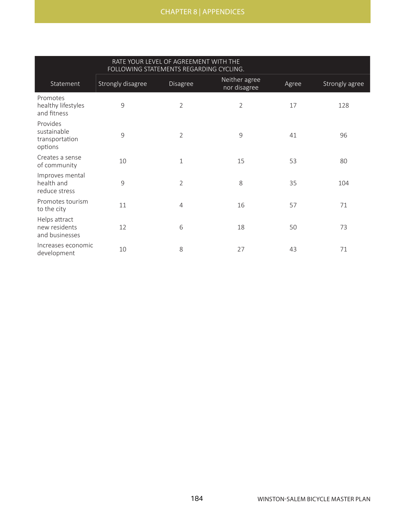|                                                      | RATE YOUR LEVEL OF AGREEMENT WITH THE<br>FOLLOWING STATEMENTS REGARDING CYCLING. |                |                               |       |                |
|------------------------------------------------------|----------------------------------------------------------------------------------|----------------|-------------------------------|-------|----------------|
| Statement                                            | Strongly disagree                                                                | Disagree       | Neither agree<br>nor disagree | Agree | Strongly agree |
| Promotes<br>healthy lifestyles<br>and fitness        | 9                                                                                | $\overline{2}$ | 2                             | 17    | 128            |
| Provides<br>sustainable<br>transportation<br>options | 9                                                                                | $\overline{2}$ | 9                             | 41    | 96             |
| Creates a sense<br>of community                      | 10                                                                               | $\mathbf{1}$   | 15                            | 53    | 80             |
| Improves mental<br>health and<br>reduce stress       | 9                                                                                | $\overline{2}$ | 8                             | 35    | 104            |
| Promotes tourism<br>to the city                      | 11                                                                               | $\overline{4}$ | 16                            | 57    | 71             |
| Helps attract<br>new residents<br>and businesses     | 12                                                                               | 6              | 18                            | 50    | 73             |
| Increases economic<br>development                    | 10                                                                               | 8              | 27                            | 43    | 71             |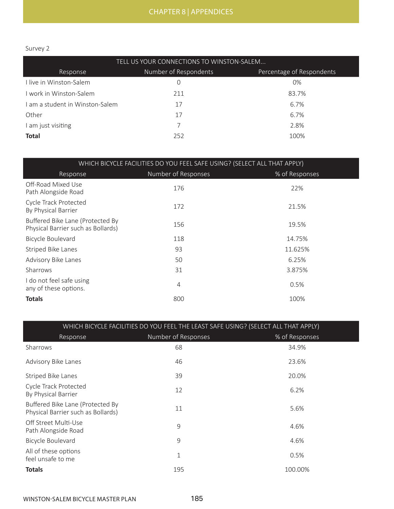## Survey 2

| TELL US YOUR CONNECTIONS TO WINSTON-SALEM |                       |                           |  |
|-------------------------------------------|-----------------------|---------------------------|--|
| Response                                  | Number of Respondents | Percentage of Respondents |  |
| I live in Winston-Salem                   | 0                     | $0\%$                     |  |
| I work in Winston-Salem                   | 211                   | 83.7%                     |  |
| I am a student in Winston-Salem           | 17                    | 6.7%                      |  |
| Other                                     | 17                    | 6.7%                      |  |
| I am just visiting                        | 7                     | 2.8%                      |  |
| <b>Total</b>                              | 252                   | 100%                      |  |

| WHICH BICYCLE FACILITIES DO YOU FEEL SAFE USING? (SELECT ALL THAT APPLY) |                     |                |  |
|--------------------------------------------------------------------------|---------------------|----------------|--|
| Response                                                                 | Number of Responses | % of Responses |  |
| Off-Road Mixed Use<br>Path Alongside Road                                | 176                 | 22%            |  |
| Cycle Track Protected<br>By Physical Barrier                             | 172                 | 21.5%          |  |
| Buffered Bike Lane (Protected By<br>Physical Barrier such as Bollards)   | 156                 | 19.5%          |  |
| Bicycle Boulevard                                                        | 118                 | 14.75%         |  |
| <b>Striped Bike Lanes</b>                                                | 93                  | 11.625%        |  |
| Advisory Bike Lanes                                                      | 50                  | 6.25%          |  |
| Sharrows                                                                 | 31                  | 3.875%         |  |
| I do not feel safe using<br>any of these options.                        | 4                   | 0.5%           |  |
| <b>Totals</b>                                                            | 800                 | 100%           |  |

| WHICH BICYCLE FACILITIES DO YOU FEEL THE LEAST SAFE USING? (SELECT ALL THAT APPLY) |                     |                |  |
|------------------------------------------------------------------------------------|---------------------|----------------|--|
| Response                                                                           | Number of Responses | % of Responses |  |
| Sharrows                                                                           | 68                  | 34.9%          |  |
| Advisory Bike Lanes                                                                | 46                  | 23.6%          |  |
| Striped Bike Lanes                                                                 | 39                  | 20.0%          |  |
| Cycle Track Protected<br>By Physical Barrier                                       | 12                  | 6.2%           |  |
| Buffered Bike Lane (Protected By<br>Physical Barrier such as Bollards)             | 11                  | 5.6%           |  |
| Off Street Multi-Use<br>Path Alongside Road                                        | 9                   | 4.6%           |  |
| Bicycle Boulevard                                                                  | 9                   | 4.6%           |  |
| All of these options<br>feel unsafe to me                                          | 1                   | 0.5%           |  |
| <b>Totals</b>                                                                      | 195                 | 100.00%        |  |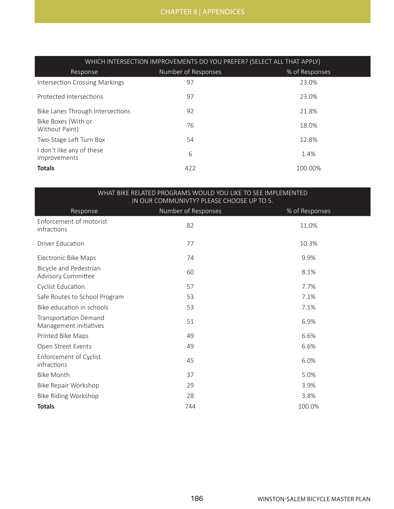| WHICH INTERSECTION IMPROVEMENTS DO YOU PREFER? (SELECT ALL THAT APPLY) |                     |                |  |
|------------------------------------------------------------------------|---------------------|----------------|--|
| Response                                                               | Number of Responses | % of Responses |  |
| Intersection Crossing Markings                                         | 97                  | 23.0%          |  |
| Protected Intersections                                                | 97                  | 23.0%          |  |
| Bike Lanes Through Intersections                                       | 92                  | 21.8%          |  |
| Bike Boxes (With or<br>Without Paint)                                  | 76                  | 18.0%          |  |
| Two-Stage Left Turn Box                                                | 54                  | 12.8%          |  |
| I don't like any of these<br>improvements                              | 6                   | 1.4%           |  |
| <b>Totals</b>                                                          | 422                 | 100.00%        |  |

| WHAT BIKE RELATED PROGRAMS WOULD YOU LIKE TO SEE IMPLEMENTED<br>IN OUR COMMUNIVTY? PLEASE CHOOSE UP TO 5. |                     |                |  |
|-----------------------------------------------------------------------------------------------------------|---------------------|----------------|--|
| Response                                                                                                  | Number of Responses | % of Responses |  |
| Enforcement of motorist<br>infractions                                                                    | 82                  | 11.0%          |  |
| <b>Driver Education</b>                                                                                   | 77                  | 10.3%          |  |
| Electronic Bike Maps                                                                                      | 74                  | 9.9%           |  |
| Bicycle and Pedestrian<br><b>Advisory Committee</b>                                                       | 60                  | 8.1%           |  |
| <b>Cyclist Education</b>                                                                                  | 57                  | 7.7%           |  |
| Safe Routes to School Program                                                                             | 53                  | 7.1%           |  |
| Bike education in schools                                                                                 | 53                  | 7.1%           |  |
| <b>Transportation Demand</b><br>Management initiatives                                                    | 51                  | 6.9%           |  |
| Printed Bike Maps                                                                                         | 49                  | 6.6%           |  |
| Open Street Events                                                                                        | 49                  | 6.6%           |  |
| Enforcement of Cyclist<br>infractions                                                                     | 45                  | 6.0%           |  |
| <b>Bike Month</b>                                                                                         | 37                  | 5.0%           |  |
| Bike Repair Workshop                                                                                      | 29                  | 3.9%           |  |
| Bike Riding Workshop                                                                                      | 28                  | 3.8%           |  |
| <b>Totals</b>                                                                                             | 744                 | 100.0%         |  |